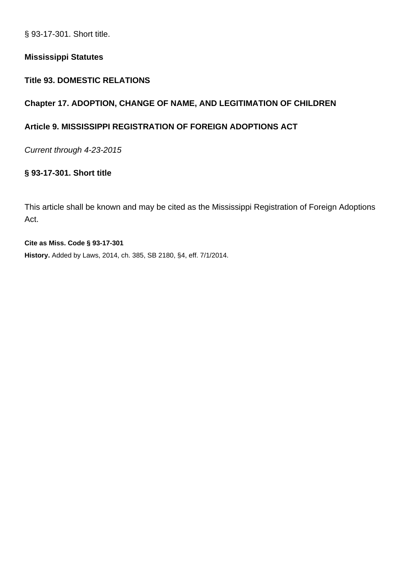§ 93-17-301. Short title.

#### **Mississippi Statutes**

## **Title 93. DOMESTIC RELATIONS**

## **Chapter 17. ADOPTION, CHANGE OF NAME, AND LEGITIMATION OF CHILDREN**

## **Article 9. MISSISSIPPI REGISTRATION OF FOREIGN ADOPTIONS ACT**

Current through 4-23-2015

## **§ 93-17-301. Short title**

This article shall be known and may be cited as the Mississippi Registration of Foreign Adoptions Act.

**Cite as Miss. Code § 93-17-301 History.** Added by Laws, 2014, ch. 385, SB 2180, §4, eff. 7/1/2014.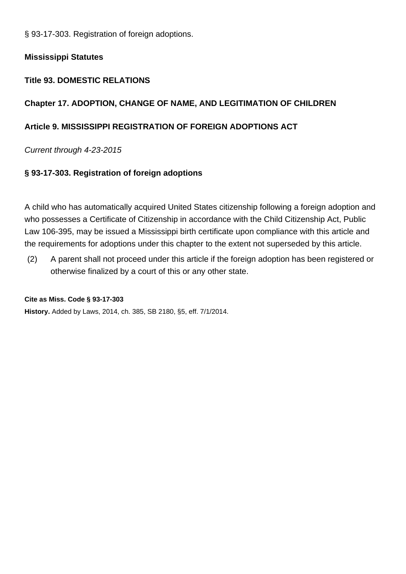§ 93-17-303. Registration of foreign adoptions.

## **Mississippi Statutes**

## **Title 93. DOMESTIC RELATIONS**

## **Chapter 17. ADOPTION, CHANGE OF NAME, AND LEGITIMATION OF CHILDREN**

## **Article 9. MISSISSIPPI REGISTRATION OF FOREIGN ADOPTIONS ACT**

## Current through 4-23-2015

## **§ 93-17-303. Registration of foreign adoptions**

A child who has automatically acquired United States citizenship following a foreign adoption and who possesses a Certificate of Citizenship in accordance with the Child Citizenship Act, Public Law 106-395, may be issued a Mississippi birth certificate upon compliance with this article and the requirements for adoptions under this chapter to the extent not superseded by this article.

(2) A parent shall not proceed under this article if the foreign adoption has been registered or otherwise finalized by a court of this or any other state.

#### **Cite as Miss. Code § 93-17-303**

**History.** Added by Laws, 2014, ch. 385, SB 2180, §5, eff. 7/1/2014.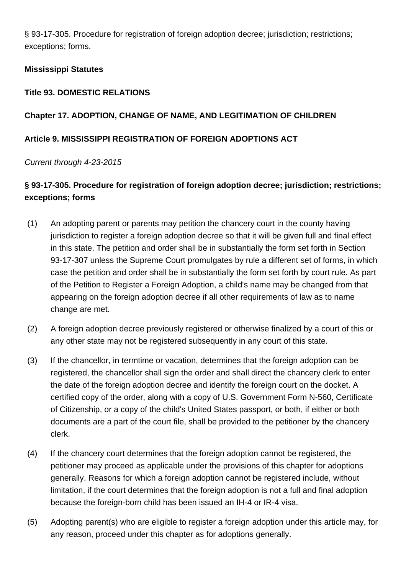§ 93-17-305. Procedure for registration of foreign adoption decree; jurisdiction; restrictions; exceptions; forms.

## **Mississippi Statutes**

## **Title 93. DOMESTIC RELATIONS**

## **Chapter 17. ADOPTION, CHANGE OF NAME, AND LEGITIMATION OF CHILDREN**

## **Article 9. MISSISSIPPI REGISTRATION OF FOREIGN ADOPTIONS ACT**

## Current through 4-23-2015

# **§ 93-17-305. Procedure for registration of foreign adoption decree; jurisdiction; restrictions; exceptions; forms**

- (1) An adopting parent or parents may petition the chancery court in the county having jurisdiction to register a foreign adoption decree so that it will be given full and final effect in this state. The petition and order shall be in substantially the form set forth in Section 93-17-307 unless the Supreme Court promulgates by rule a different set of forms, in which case the petition and order shall be in substantially the form set forth by court rule. As part of the Petition to Register a Foreign Adoption, a child's name may be changed from that appearing on the foreign adoption decree if all other requirements of law as to name change are met.
- (2) A foreign adoption decree previously registered or otherwise finalized by a court of this or any other state may not be registered subsequently in any court of this state.
- (3) If the chancellor, in termtime or vacation, determines that the foreign adoption can be registered, the chancellor shall sign the order and shall direct the chancery clerk to enter the date of the foreign adoption decree and identify the foreign court on the docket. A certified copy of the order, along with a copy of U.S. Government Form N-560, Certificate of Citizenship, or a copy of the child's United States passport, or both, if either or both documents are a part of the court file, shall be provided to the petitioner by the chancery clerk.
- (4) If the chancery court determines that the foreign adoption cannot be registered, the petitioner may proceed as applicable under the provisions of this chapter for adoptions generally. Reasons for which a foreign adoption cannot be registered include, without limitation, if the court determines that the foreign adoption is not a full and final adoption because the foreign-born child has been issued an IH-4 or IR-4 visa.
- (5) Adopting parent(s) who are eligible to register a foreign adoption under this article may, for any reason, proceed under this chapter as for adoptions generally.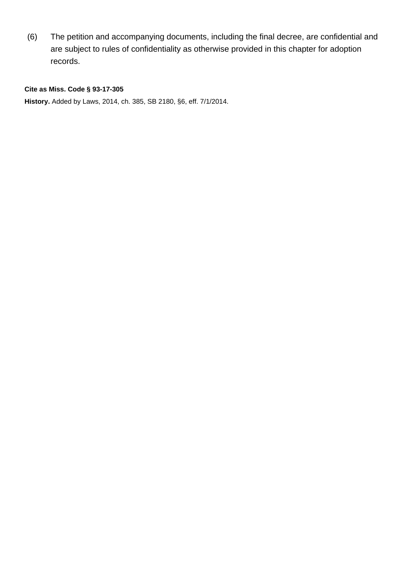(6) The petition and accompanying documents, including the final decree, are confidential and are subject to rules of confidentiality as otherwise provided in this chapter for adoption records.

#### **Cite as Miss. Code § 93-17-305**

**History.** Added by Laws, 2014, ch. 385, SB 2180, §6, eff. 7/1/2014.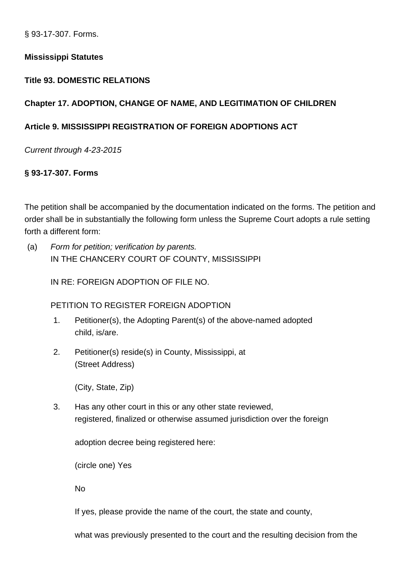§ 93-17-307. Forms.

## **Mississippi Statutes**

#### **Title 93. DOMESTIC RELATIONS**

## **Chapter 17. ADOPTION, CHANGE OF NAME, AND LEGITIMATION OF CHILDREN**

## **Article 9. MISSISSIPPI REGISTRATION OF FOREIGN ADOPTIONS ACT**

Current through 4-23-2015

## **§ 93-17-307. Forms**

The petition shall be accompanied by the documentation indicated on the forms. The petition and order shall be in substantially the following form unless the Supreme Court adopts a rule setting forth a different form:

(a) Form for petition; verification by parents. IN THE CHANCERY COURT OF COUNTY, MISSISSIPPI

IN RE: FOREIGN ADOPTION OF FILE NO.

PETITION TO REGISTER FOREIGN ADOPTION

- 1. Petitioner(s), the Adopting Parent(s) of the above-named adopted child, is/are.
- 2. Petitioner(s) reside(s) in County, Mississippi, at (Street Address)

(City, State, Zip)

3. Has any other court in this or any other state reviewed, registered, finalized or otherwise assumed jurisdiction over the foreign

adoption decree being registered here:

(circle one) Yes

No

If yes, please provide the name of the court, the state and county,

what was previously presented to the court and the resulting decision from the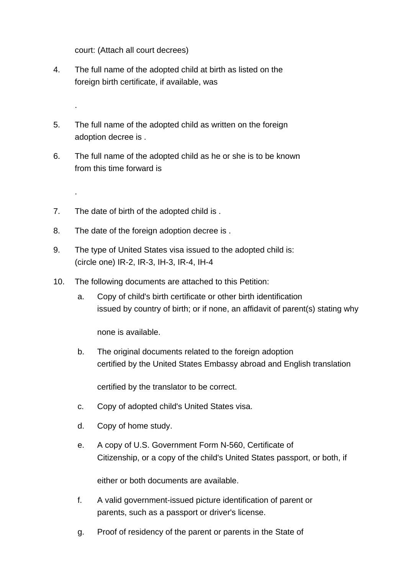court: (Attach all court decrees)

.

.

- 4. The full name of the adopted child at birth as listed on the foreign birth certificate, if available, was
- 5. The full name of the adopted child as written on the foreign adoption decree is .
- 6. The full name of the adopted child as he or she is to be known from this time forward is
- 7. The date of birth of the adopted child is .
- 8. The date of the foreign adoption decree is .
- 9. The type of United States visa issued to the adopted child is: (circle one) IR-2, IR-3, IH-3, IR-4, IH-4
- 10. The following documents are attached to this Petition:
	- a. Copy of child's birth certificate or other birth identification issued by country of birth; or if none, an affidavit of parent(s) stating why

none is available.

b. The original documents related to the foreign adoption certified by the United States Embassy abroad and English translation

certified by the translator to be correct.

- c. Copy of adopted child's United States visa.
- d. Copy of home study.
- e. A copy of U.S. Government Form N-560, Certificate of Citizenship, or a copy of the child's United States passport, or both, if

either or both documents are available.

- f. A valid government-issued picture identification of parent or parents, such as a passport or driver's license.
- g. Proof of residency of the parent or parents in the State of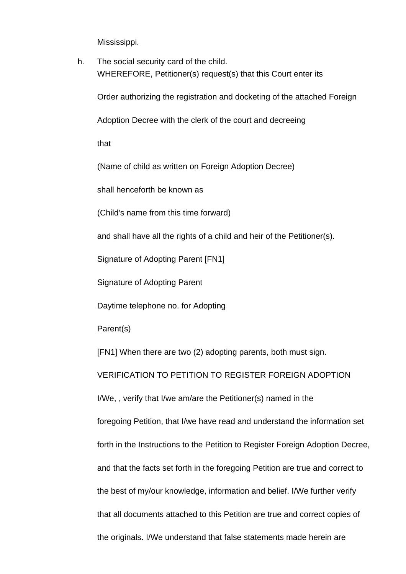Mississippi.

h. The social security card of the child. WHEREFORE, Petitioner(s) request(s) that this Court enter its

Order authorizing the registration and docketing of the attached Foreign

Adoption Decree with the clerk of the court and decreeing

that

(Name of child as written on Foreign Adoption Decree)

shall henceforth be known as

(Child's name from this time forward)

and shall have all the rights of a child and heir of the Petitioner(s).

Signature of Adopting Parent [FN1]

Signature of Adopting Parent

Daytime telephone no. for Adopting

Parent(s)

[FN1] When there are two (2) adopting parents, both must sign.

VERIFICATION TO PETITION TO REGISTER FOREIGN ADOPTION

I/We, , verify that I/we am/are the Petitioner(s) named in the

foregoing Petition, that I/we have read and understand the information set

forth in the Instructions to the Petition to Register Foreign Adoption Decree,

and that the facts set forth in the foregoing Petition are true and correct to

the best of my/our knowledge, information and belief. I/We further verify

that all documents attached to this Petition are true and correct copies of

the originals. I/We understand that false statements made herein are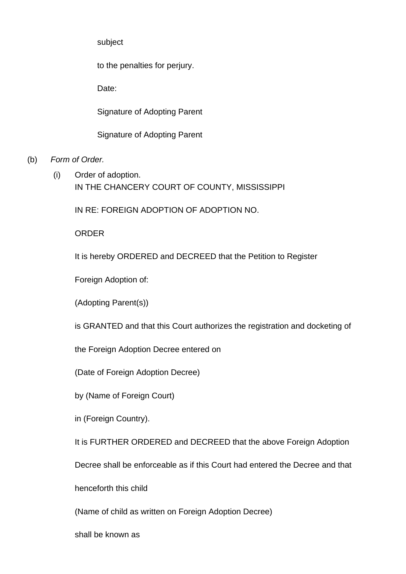subject

to the penalties for perjury.

Date:

Signature of Adopting Parent

Signature of Adopting Parent

- (b) Form of Order.
	- (i) Order of adoption. IN THE CHANCERY COURT OF COUNTY, MISSISSIPPI

IN RE: FOREIGN ADOPTION OF ADOPTION NO.

ORDER

It is hereby ORDERED and DECREED that the Petition to Register

Foreign Adoption of:

(Adopting Parent(s))

is GRANTED and that this Court authorizes the registration and docketing of

the Foreign Adoption Decree entered on

(Date of Foreign Adoption Decree)

by (Name of Foreign Court)

in (Foreign Country).

It is FURTHER ORDERED and DECREED that the above Foreign Adoption

Decree shall be enforceable as if this Court had entered the Decree and that

henceforth this child

(Name of child as written on Foreign Adoption Decree)

shall be known as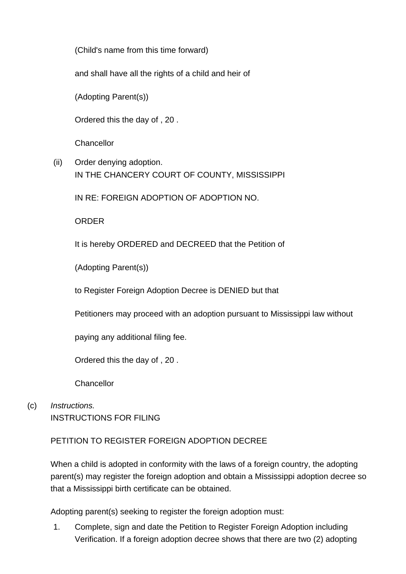(Child's name from this time forward)

and shall have all the rights of a child and heir of

(Adopting Parent(s))

Ordered this the day of , 20 .

**Chancellor** 

(ii) Order denying adoption. IN THE CHANCERY COURT OF COUNTY, MISSISSIPPI

IN RE: FOREIGN ADOPTION OF ADOPTION NO.

**ORDER** 

It is hereby ORDERED and DECREED that the Petition of

(Adopting Parent(s))

to Register Foreign Adoption Decree is DENIED but that

Petitioners may proceed with an adoption pursuant to Mississippi law without

paying any additional filing fee.

Ordered this the day of , 20 .

**Chancellor** 

(c) Instructions. INSTRUCTIONS FOR FILING

## PETITION TO REGISTER FOREIGN ADOPTION DECREE

When a child is adopted in conformity with the laws of a foreign country, the adopting parent(s) may register the foreign adoption and obtain a Mississippi adoption decree so that a Mississippi birth certificate can be obtained.

Adopting parent(s) seeking to register the foreign adoption must:

1. Complete, sign and date the Petition to Register Foreign Adoption including Verification. If a foreign adoption decree shows that there are two (2) adopting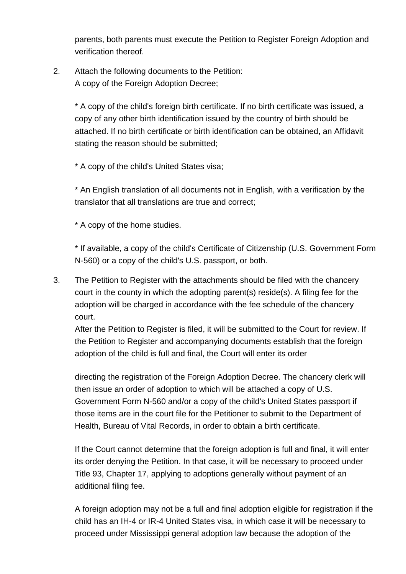parents, both parents must execute the Petition to Register Foreign Adoption and verification thereof.

# 2. Attach the following documents to the Petition: A copy of the Foreign Adoption Decree;

\* A copy of the child's foreign birth certificate. If no birth certificate was issued, a copy of any other birth identification issued by the country of birth should be attached. If no birth certificate or birth identification can be obtained, an Affidavit stating the reason should be submitted;

\* A copy of the child's United States visa;

\* An English translation of all documents not in English, with a verification by the translator that all translations are true and correct;

\* A copy of the home studies.

\* If available, a copy of the child's Certificate of Citizenship (U.S. Government Form N-560) or a copy of the child's U.S. passport, or both.

3. The Petition to Register with the attachments should be filed with the chancery court in the county in which the adopting parent(s) reside(s). A filing fee for the adoption will be charged in accordance with the fee schedule of the chancery court.

After the Petition to Register is filed, it will be submitted to the Court for review. If the Petition to Register and accompanying documents establish that the foreign adoption of the child is full and final, the Court will enter its order

directing the registration of the Foreign Adoption Decree. The chancery clerk will then issue an order of adoption to which will be attached a copy of U.S. Government Form N-560 and/or a copy of the child's United States passport if those items are in the court file for the Petitioner to submit to the Department of Health, Bureau of Vital Records, in order to obtain a birth certificate.

If the Court cannot determine that the foreign adoption is full and final, it will enter its order denying the Petition. In that case, it will be necessary to proceed under Title 93, Chapter 17, applying to adoptions generally without payment of an additional filing fee.

A foreign adoption may not be a full and final adoption eligible for registration if the child has an IH-4 or IR-4 United States visa, in which case it will be necessary to proceed under Mississippi general adoption law because the adoption of the